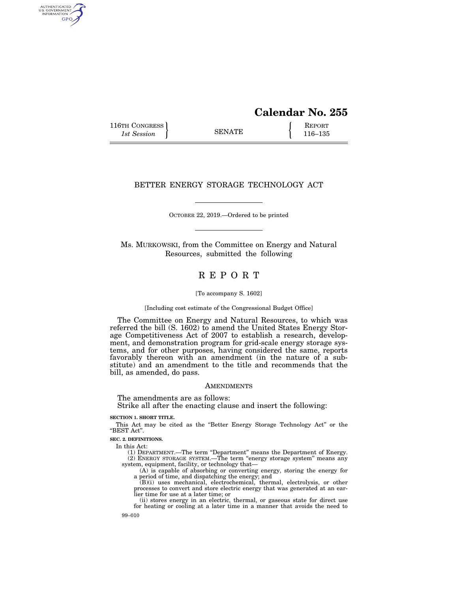# **Calendar No. 255**

116TH CONGRESS REPORT 116-135

AUTHENTICATED<br>U.S. GOVERNMENT<br>INFORMATION GPO

# BETTER ENERGY STORAGE TECHNOLOGY ACT

OCTOBER 22, 2019.—Ordered to be printed

Ms. MURKOWSKI, from the Committee on Energy and Natural Resources, submitted the following

# R E P O R T

[To accompany S. 1602]

[Including cost estimate of the Congressional Budget Office]

The Committee on Energy and Natural Resources, to which was referred the bill (S. 1602) to amend the United States Energy Storage Competitiveness Act of 2007 to establish a research, development, and demonstration program for grid-scale energy storage systems, and for other purposes, having considered the same, reports favorably thereon with an amendment (in the nature of a substitute) and an amendment to the title and recommends that the bill, as amended, do pass.

### **AMENDMENTS**

The amendments are as follows:

Strike all after the enacting clause and insert the following:

#### **SECTION 1. SHORT TITLE.**

This Act may be cited as the ''Better Energy Storage Technology Act'' or the "BEST Act".

**SEC. 2. DEFINITIONS.** 

In this Act:

(1) DEPARTMENT.—The term ''Department'' means the Department of Energy. (2) ENERGY STORAGE SYSTEM.—The term ''energy storage system'' means any system, equipment, facility, or technology that—

(A) is capable of absorbing or converting energy, storing the energy for a period of time, and dispatching the energy; and

(B)(i) uses mechanical, electrochemical, thermal, electrolysis, or other processes to convert and store electric energy that was generated at an earlier time for use at a later time; or

(ii) stores energy in an electric, thermal, or gaseous state for direct use for heating or cooling at a later time in a manner that avoids the need to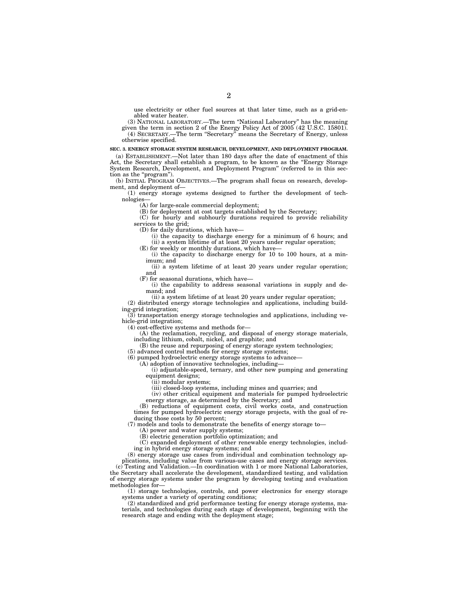use electricity or other fuel sources at that later time, such as a grid-enabled water heater.

(3) NATIONAL LABORATORY.—The term ''National Laboratory'' has the meaning given the term in section 2 of the Energy Policy Act of 2005 (42 U.S.C. 15801).

(4) SECRETARY.—The term ''Secretary'' means the Secretary of Energy, unless otherwise specified.

## **SEC. 3. ENERGY STORAGE SYSTEM RESEARCH, DEVELOPMENT, AND DEPLOYMENT PROGRAM.**

(a) ESTABLISHMENT.—Not later than 180 days after the date of enactment of this Act, the Secretary shall establish a program, to be known as the ''Energy Storage System Research, Development, and Deployment Program'' (referred to in this section as the "program").

(b) INITIAL PROGRAM OBJECTIVES.—The program shall focus on research, development, and deployment of—

(1) energy storage systems designed to further the development of technologies—

(A) for large-scale commercial deployment;

(B) for deployment at cost targets established by the Secretary;

(C) for hourly and subhourly durations required to provide reliability services to the grid;

(D) for daily durations, which have—

(i) the capacity to discharge energy for a minimum of 6 hours; and (ii) a system lifetime of at least 20 years under regular operation;

(E) for weekly or monthly durations, which have—

(i) the capacity to discharge energy for 10 to 100 hours, at a minimum; and

(ii) a system lifetime of at least 20 years under regular operation; and

(F) for seasonal durations, which have—

(i) the capability to address seasonal variations in supply and demand; and

(ii) a system lifetime of at least 20 years under regular operation;

(2) distributed energy storage technologies and applications, including building-grid integration;

(3) transportation energy storage technologies and applications, including vehicle-grid integration;

(4) cost-effective systems and methods for—

(A) the reclamation, recycling, and disposal of energy storage materials, including lithium, cobalt, nickel, and graphite; and

(B) the reuse and repurposing of energy storage system technologies;

(5) advanced control methods for energy storage systems;

(6) pumped hydroelectric energy storage systems to advance—

(A) adoption of innovative technologies, including—

(i) adjustable-speed, ternary, and other new pumping and generating equipment designs;

(ii) modular systems;

(iii) closed-loop systems, including mines and quarries; and

(iv) other critical equipment and materials for pumped hydroelectric energy storage, as determined by the Secretary; and

(B) reductions of equipment costs, civil works costs, and construction times for pumped hydroelectric energy storage projects, with the goal of reducing those costs by 50 percent;

(7) models and tools to demonstrate the benefits of energy storage to—

(A) power and water supply systems;

(B) electric generation portfolio optimization; and

(C) expanded deployment of other renewable energy technologies, including in hybrid energy storage systems; and

(8) energy storage use cases from individual and combination technology applications, including value from various-use cases and energy storage services. (c) Testing and Validation.—In coordination with 1 or more National Laboratories, the Secretary shall accelerate the development, standardized testing, and validation of energy storage systems under the program by developing testing and evaluation

methodologies for— (1) storage technologies, controls, and power electronics for energy storage systems under a variety of operating conditions;

(2) standardized and grid performance testing for energy storage systems, materials, and technologies during each stage of development, beginning with the research stage and ending with the deployment stage;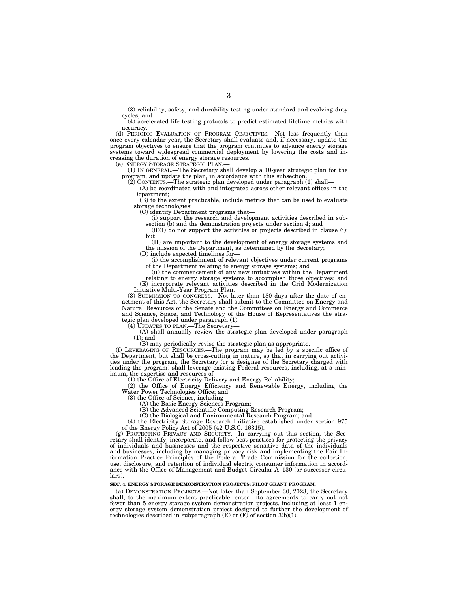(3) reliability, safety, and durability testing under standard and evolving duty cycles; and

(4) accelerated life testing protocols to predict estimated lifetime metrics with accuracy.

(d) PERIODIC EVALUATION OF PROGRAM OBJECTIVES.—Not less frequently than once every calendar year, the Secretary shall evaluate and, if necessary, update the program objectives to ensure that the program continues to advance energy storage systems toward widespread commercial deployment by lowering the costs and increasing the duration of energy storage resources.

(e) ENERGY STORAGE STRATEGIC PLAN.—

(1) IN GENERAL.—The Secretary shall develop a 10-year strategic plan for the program, and update the plan, in accordance with this subsection.

(2) CONTENTS.—The strategic plan developed under paragraph (1) shall—

(A) be coordinated with and integrated across other relevant offices in the Department;

(B) to the extent practicable, include metrics that can be used to evaluate storage technologies;

(C) identify Department programs that—

(i) support the research and development activities described in subsection (b) and the demonstration projects under section 4; and

(ii)(I) do not support the activities or projects described in clause (i); but

(II) are important to the development of energy storage systems and the mission of the Department, as determined by the Secretary; (D) include expected timelines for—

(i) the accomplishment of relevant objectives under current programs of the Department relating to energy storage systems; and

(ii) the commencement of any new initiatives within the Department relating to energy storage systems to accomplish those objectives; and (E) incorporate relevant activities described in the Grid Modernization Initiative Multi-Year Program Plan.

(3) SUBMISSION TO CONGRESS.—Not later than 180 days after the date of enactment of this Act, the Secretary shall submit to the Committee on Energy and Natural Resources of the Senate and the Committees on Energy and Commerce and Science, Space, and Technology of the House of Representatives the strategic plan developed under paragraph (1).

(4) UPDATES TO PLAN.—The Secretary—

(A) shall annually review the strategic plan developed under paragraph  $(1)$ ; and

(B) may periodically revise the strategic plan as appropriate.

(f) LEVERAGING OF RESOURCES.—The program may be led by a specific office of the Department, but shall be cross-cutting in nature, so that in carrying out activities under the program, the Secretary (or a designee of the Secretary charged with leading the program) shall leverage existing Federal resources, including, at a minimum, the expertise and resources of—

 $(1)$  the Office of Electricity Delivery and Energy Reliability;

(2) the Office of Energy Efficiency and Renewable Energy, including the Water Power Technologies Office; and

(3) the Office of Science, including—

(A) the Basic Energy Sciences Program;

(B) the Advanced Scientific Computing Research Program;

(C) the Biological and Environmental Research Program; and

(4) the Electricity Storage Research Initiative established under section 975 of the Energy Policy Act of 2005 (42 U.S.C. 16315).

(g) PROTECTING PRIVACY AND SECURITY.—In carrying out this section, the Secretary shall identify, incorporate, and follow best practices for protecting the privacy of individuals and businesses and the respective sensitive data of the individuals and businesses, including by managing privacy risk and implementing the Fair Information Practice Principles of the Federal Trade Commission for the collection, use, disclosure, and retention of individual electric consumer information in accordance with the Office of Management and Budget Circular A–130 (or successor circulars).

### **SEC. 4. ENERGY STORAGE DEMONSTRATION PROJECTS; PILOT GRANT PROGRAM.**

(a) DEMONSTRATION PROJECTS.—Not later than September 30, 2023, the Secretary shall, to the maximum extent practicable, enter into agreements to carry out not fewer than 5 energy storage system demonstration projects, including at least 1 energy storage system demonstration project designed to further the development of technologies described in subparagraph  $(E)$  or  $(F)$  of section 3(b)(1).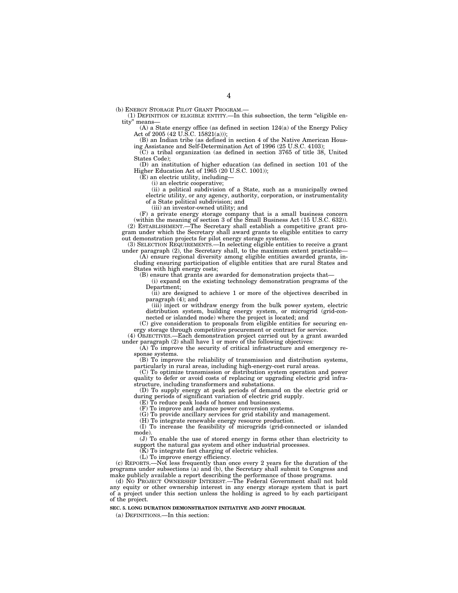(b) ENERGY STORAGE PILOT GRANT PROGRAM.—

(1) DEFINITION OF ELIGIBLE ENTITY.—In this subsection, the term ''eligible entity" means-

(A) a State energy office (as defined in section 124(a) of the Energy Policy Act of 2005 (42 U.S.C. 15821(a)));

(B) an Indian tribe (as defined in section 4 of the Native American Housing Assistance and Self-Determination Act of 1996 (25 U.S.C. 4103);

(C) a tribal organization (as defined in section 3765 of title 38, United States Code);

(D) an institution of higher education (as defined in section 101 of the Higher Education Act of 1965 (20 U.S.C. 1001));

(E) an electric utility, including—

(i) an electric cooperative; (ii) a political subdivision of a State, such as a municipally owned electric utility, or any agency, authority, corporation, or instrumentality

of a State political subdivision; and

(iii) an investor-owned utility; and

(F) a private energy storage company that is a small business concern (within the meaning of section 3 of the Small Business Act (15 U.S.C. 632)). (2) ESTABLISHMENT.—The Secretary shall establish a competitive grant program under which the Secretary shall award grants to eligible entities to carry out demonstration projects for pilot energy storage systems.

(3) SELECTION REQUIREMENTS.—In selecting eligible entities to receive a grant under paragraph (2), the Secretary shall, to the maximum extent practicable—

(A) ensure regional diversity among eligible entities awarded grants, including ensuring participation of eligible entities that are rural States and States with high energy costs;

(B) ensure that grants are awarded for demonstration projects that—

(i) expand on the existing technology demonstration programs of the Department;

(ii) are designed to achieve 1 or more of the objectives described in paragraph (4); and

(iii) inject or withdraw energy from the bulk power system, electric distribution system, building energy system, or microgrid (grid-connected or islanded mode) where the project is located; and

(C) give consideration to proposals from eligible entities for securing energy storage through competitive procurement or contract for service.

(4) OBJECTIVES.—Each demonstration project carried out by a grant awarded under paragraph (2) shall have 1 or more of the following objectives:

(A) To improve the security of critical infrastructure and emergency response systems.

(B) To improve the reliability of transmission and distribution systems, particularly in rural areas, including high-energy-cost rural areas.

(C) To optimize transmission or distribution system operation and power quality to defer or avoid costs of replacing or upgrading electric grid infrastructure, including transformers and substations.

(D) To supply energy at peak periods of demand on the electric grid or during periods of significant variation of electric grid supply.

(E) To reduce peak loads of homes and businesses.

(F) To improve and advance power conversion systems.

(G) To provide ancillary services for grid stability and management.

(H) To integrate renewable energy resource production.

(I) To increase the feasibility of microgrids (grid-connected or islanded mode).

(J) To enable the use of stored energy in forms other than electricity to support the natural gas system and other industrial processes.

(K) To integrate fast charging of electric vehicles.

(L) To improve energy efficiency.

(c) REPORTS.—Not less frequently than once every 2 years for the duration of the programs under subsections (a) and (b), the Secretary shall submit to Congress and make publicly available a report describing the performance of those programs.

(d) NO PROJECT OWNERSHIP INTEREST.—The Federal Government shall not hold any equity or other ownership interest in any energy storage system that is part of a project under this section unless the holding is agreed to by each participant of the project.

**SEC. 5. LONG DURATION DEMONSTRATION INITIATIVE AND JOINT PROGRAM.** 

(a) DEFINITIONS.—In this section: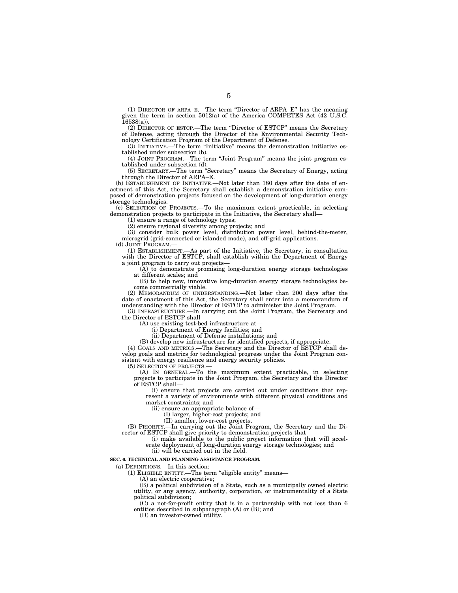(1) DIRECTOR OF ARPA–E.—The term ''Director of ARPA–E'' has the meaning given the term in section 5012(a) of the America COMPETES Act (42 U.S.C.  $16538(a)$ ).

(2) DIRECTOR OF ESTCP.—The term ''Director of ESTCP'' means the Secretary of Defense, acting through the Director of the Environmental Security Technology Certification Program of the Department of Defense.

 $(3)$  INITIATIVE.—The term "Initiative" means the demonstration initiative established under subsection (b).

(4) JOINT PROGRAM.—The term ''Joint Program'' means the joint program established under subsection (d).

(5) SECRETARY.—The term ''Secretary'' means the Secretary of Energy, acting through the Director of ARPA–E.

(b) ESTABLISHMENT OF INITIATIVE.—Not later than 180 days after the date of enactment of this Act, the Secretary shall establish a demonstration initiative composed of demonstration projects focused on the development of long-duration energy storage technologies.

(c) SELECTION OF PROJECTS.—To the maximum extent practicable, in selecting demonstration projects to participate in the Initiative, the Secretary shall—

(1) ensure a range of technology types;

(2) ensure regional diversity among projects; and

(3) consider bulk power level, distribution power level, behind-the-meter, microgrid (grid-connected or islanded mode), and off-grid applications.

(d) JOINT PROGRAM.

(1) ESTABLISHMENT.—As part of the Initiative, the Secretary, in consultation with the Director of ESTCP, shall establish within the Department of Energy a joint program to carry out projects—

(A) to demonstrate promising long-duration energy storage technologies at different scales; and

(B) to help new, innovative long-duration energy storage technologies become commercially viable.

(2) MEMORANDUM OF UNDERSTANDING.—Not later than 200 days after the date of enactment of this Act, the Secretary shall enter into a memorandum of understanding with the Director of ESTCP to administer the Joint Program.

(3) INFRASTRUCTURE.—In carrying out the Joint Program, the Secretary and the Director of ESTCP shall—

(A) use existing test-bed infrastructure at—

(i) Department of Energy facilities; and

(ii) Department of Defense installations; and

(B) develop new infrastructure for identified projects, if appropriate.

(4) GOALS AND METRICS.—The Secretary and the Director of ESTCP shall develop goals and metrics for technological progress under the Joint Program consistent with energy resilience and energy security policies.

(5) SELECTION OF PROJECTS.—

(A) IN GENERAL.—To the maximum extent practicable, in selecting projects to participate in the Joint Program, the Secretary and the Director of ESTCP shall—

(i) ensure that projects are carried out under conditions that represent a variety of environments with different physical conditions and market constraints; and

(ii) ensure an appropriate balance of—

(I) larger, higher-cost projects; and

(II) smaller, lower-cost projects.

(B) PRIORITY.—In carrying out the Joint Program, the Secretary and the Director of ESTCP shall give priority to demonstration projects that-

(i) make available to the public project information that will accelerate deployment of long-duration energy storage technologies; and (ii) will be carried out in the field.

**SEC. 6. TECHNICAL AND PLANNING ASSISTANCE PROGRAM.** 

(a) DEFINITIONS.—In this section:

(1) ELIGIBLE ENTITY.—The term ''eligible entity'' means—

(A) an electric cooperative;

(B) a political subdivision of a State, such as a municipally owned electric utility, or any agency, authority, corporation, or instrumentality of a State political subdivision;

(C) a not-for-profit entity that is in a partnership with not less than 6 entities described in subparagraph (A) or (B); and

(D) an investor-owned utility.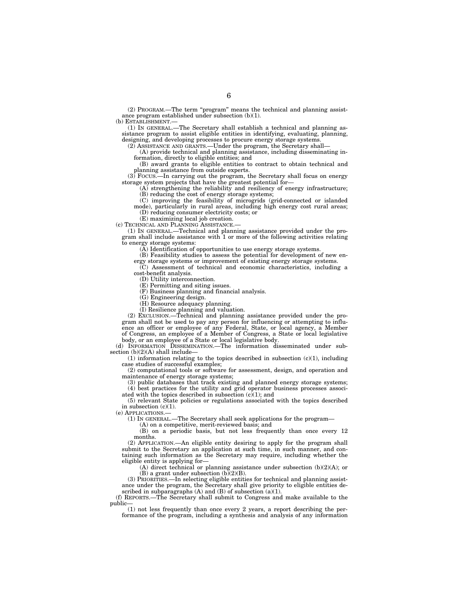(2) PROGRAM.—The term ''program'' means the technical and planning assistance program established under subsection (b)(1).

(b) ESTABLISHMENT.—

(1) IN GENERAL.—The Secretary shall establish a technical and planning assistance program to assist eligible entities in identifying, evaluating, planning, designing, and developing processes to procure energy storage systems.

(2) ASSISTANCE AND GRANTS.—Under the program, the Secretary shall—

(A) provide technical and planning assistance, including disseminating information, directly to eligible entities; and

(B) award grants to eligible entities to contract to obtain technical and planning assistance from outside experts.

(3) FOCUS.—In carrying out the program, the Secretary shall focus on energy storage system projects that have the greatest potential for—

(A) strengthening the reliability and resiliency of energy infrastructure; (B) reducing the cost of energy storage systems;

(C) improving the feasibility of microgrids (grid-connected or islanded mode), particularly in rural areas, including high energy cost rural areas; (D) reducing consumer electricity costs; or

(E) maximizing local job creation.

(c) TECHNICAL AND PLANNING ASSISTANCE.—

(1) IN GENERAL.—Technical and planning assistance provided under the program shall include assistance with 1 or more of the following activities relating to energy storage systems:

(A) Identification of opportunities to use energy storage systems.

(B) Feasibility studies to assess the potential for development of new en-

ergy storage systems or improvement of existing energy storage systems. (C) Assessment of technical and economic characteristics, including a cost-benefit analysis.

(D) Utility interconnection.

(E) Permitting and siting issues. (F) Business planning and financial analysis.

(G) Engineering design.

(H) Resource adequacy planning.

(I) Resilience planning and valuation.

(2) EXCLUSION.—Technical and planning assistance provided under the program shall not be used to pay any person for influencing or attempting to influence an officer or employee of any Federal, State, or local agency, a Member of Congress, an employee of a Member of Congress, a State or local legislative body, or an employee of a State or local legislative body.

(d) INFORMATION DISSEMINATION.—The information disseminated under subsection  $(b)(2)(A)$  shall include-

 $(1)$  information relating to the topics described in subsection  $(c)(1)$ , including case studies of successful examples;

(2) computational tools or software for assessment, design, and operation and maintenance of energy storage systems;

(3) public databases that track existing and planned energy storage systems; (4) best practices for the utility and grid operator business processes associated with the topics described in subsection  $(c)(1)$ ; and

(5) relevant State policies or regulations associated with the topics described in subsection (c)(1).

(e) APPLICATIONS.—

(1) IN GENERAL.—The Secretary shall seek applications for the program—

(A) on a competitive, merit-reviewed basis; and

(B) on a periodic basis, but not less frequently than once every 12 months.

(2) APPLICATION.—An eligible entity desiring to apply for the program shall submit to the Secretary an application at such time, in such manner, and containing such information as the Secretary may require, including whether the eligible entity is applying for—

(A) direct technical or planning assistance under subsection (b)(2)(A); or (B) a grant under subsection  $(b)(2)(B)$ .

(3) PRIORITIES.—In selecting eligible entities for technical and planning assistance under the program, the Secretary shall give priority to eligible entities described in subparagraphs  $(A)$  and  $(B)$  of subsection  $(a)(1)$ .

(f) REPORTS.—The Secretary shall submit to Congress and make available to the public—

(1) not less frequently than once every 2 years, a report describing the performance of the program, including a synthesis and analysis of any information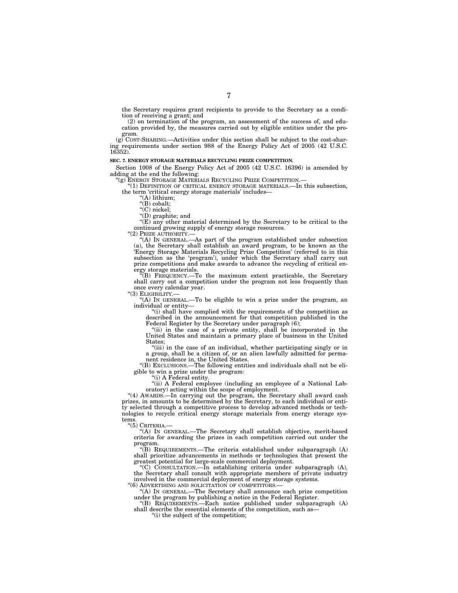the Secretary requires grant recipients to provide to the Secretary as a condition of receiving a grant; and

(2) on termination of the program, an assessment of the success of, and education provided by, the measures carried out by eligible entities under the program.

(g) COST-SHARING.—Activities under this section shall be subject to the cost-sharing requirements under section 988 of the Energy Policy Act of 2005 (42 U.S.C. 16352).

### **SEC. 7. ENERGY STORAGE MATERIALS RECYCLING PRIZE COMPETITION.**

Section 1008 of the Energy Policy Act of 2005 (42 U.S.C. 16396) is amended by adding at the end the following:

''(g) ENERGY STORAGE MATERIALS RECYCLING PRIZE COMPETITION.—

''(1) DEFINITION OF CRITICAL ENERGY STORAGE MATERIALS.—In this subsection, the term 'critical energy storage materials' includes—

''(A) lithium;

''(B) cobalt;  $\overline{C}$ ) nickel;

''(D) graphite; and

 $E(E)$  any other material determined by the Secretary to be critical to the continued growing supply of energy storage resources.

"(2) PRIZE AUTHORITY.-

''(A) IN GENERAL.—As part of the program established under subsection (a), the Secretary shall establish an award program, to be known as the 'Energy Storage Materials Recycling Prize Competition' (referred to in this subsection as the 'program'), under which the Secretary shall carry out prize competitions and make awards to advance the recycling of critical en-

ergy storage materials. ''(B) FREQUENCY.—To the maximum extent practicable, the Secretary shall carry out a competition under the program not less frequently than once every calendar year.

"(3) ELIGIBILITY.-

''(A) IN GENERAL.—To be eligible to win a prize under the program, an individual or entity—

"(i) shall have complied with the requirements of the competition as described in the announcement for that competition published in the Federal Register by the Secretary under paragraph (6);

''(ii) in the case of a private entity, shall be incorporated in the United States and maintain a primary place of business in the United States;

''(iii) in the case of an individual, whether participating singly or in a group, shall be a citizen of, or an alien lawfully admitted for permanent residence in, the United States.

''(B) EXCLUSIONS.—The following entities and individuals shall not be eligible to win a prize under the program:

"(i) A Federal entity.

"(ii) A Federal employee (including an employee of a National Laboratory) acting within the scope of employment.

"(4) AWARDS.—In carrying out the program, the Secretary shall award cash prizes, in amounts to be determined by the Secretary, to each individual or entity selected through a competitive process to develop advanced methods or technologies to recycle critical energy storage materials from energy storage systems.

''(5) CRITERIA.—

''(A) IN GENERAL.—The Secretary shall establish objective, merit-based criteria for awarding the prizes in each competition carried out under the program.

''(B) REQUIREMENTS.—The criteria established under subparagraph (A) shall prioritize advancements in methods or technologies that present the greatest potential for large-scale commercial deployment.

''(C) CONSULTATION.—In establishing criteria under subparagraph (A), the Secretary shall consult with appropriate members of private industry involved in the commercial deployment of energy storage systems. ''(6) ADVERTISING AND SOLICITATION OF COMPETITORS.—

''(A) IN GENERAL.—The Secretary shall announce each prize competition

under the program by publishing a notice in the Federal Register.

''(B) REQUIREMENTS.—Each notice published under subparagraph (A) shall describe the essential elements of the competition, such as—

''(i) the subject of the competition;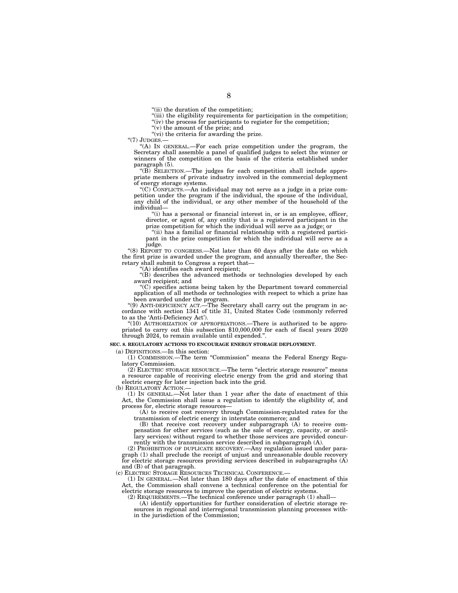"(ii) the duration of the competition;

"(iii) the eligibility requirements for participation in the competition;

"(iv) the process for participants to register for the competition; ''(v) the amount of the prize; and

"(vi) the criteria for awarding the prize.

"(7) JUDGES.

''(A) IN GENERAL.—For each prize competition under the program, the Secretary shall assemble a panel of qualified judges to select the winner or winners of the competition on the basis of the criteria established under paragraph (5).

''(B) SELECTION.—The judges for each competition shall include appropriate members of private industry involved in the commercial deployment of energy storage systems.

''(C) CONFLICTS.—An individual may not serve as a judge in a prize competition under the program if the individual, the spouse of the individual, any child of the individual, or any other member of the household of the individual—

''(i) has a personal or financial interest in, or is an employee, officer, director, or agent of, any entity that is a registered participant in the prize competition for which the individual will serve as a judge; or

''(ii) has a familial or financial relationship with a registered participant in the prize competition for which the individual will serve as a judge.

"(8) REPORT TO CONGRESS.—Not later than 60 days after the date on which the first prize is awarded under the program, and annually thereafter, the Secretary shall submit to Congress a report that—

'(A) identifies each award recipient;

''(B) describes the advanced methods or technologies developed by each award recipient; and

''(C) specifies actions being taken by the Department toward commercial application of all methods or technologies with respect to which a prize has been awarded under the program.

''(9) ANTI-DEFICIENCY ACT.—The Secretary shall carry out the program in accordance with section 1341 of title 31, United States Code (commonly referred to as the 'Anti-Deficiency Act').

''(10) AUTHORIZATION OF APPROPRIATIONS.—There is authorized to be appropriated to carry out this subsection \$10,000,000 for each of fiscal years 2020 through 2024, to remain available until expended.''.

#### **SEC. 8. REGULATORY ACTIONS TO ENCOURAGE ENERGY STORAGE DEPLOYMENT.**

(a) DEFINITIONS.—In this section:

(1) COMMISSION.—The term ''Commission'' means the Federal Energy Regulatory Commission.

(2) ELECTRIC STORAGE RESOURCE.—The term ''electric storage resource'' means a resource capable of receiving electric energy from the grid and storing that electric energy for later injection back into the grid.

(b) REGULATORY ACTION.

(1) IN GENERAL.—Not later than 1 year after the date of enactment of this Act, the Commission shall issue a regulation to identify the eligibility of, and process for, electric storage resources—

(A) to receive cost recovery through Commission-regulated rates for the transmission of electric energy in interstate commerce; and

(B) that receive cost recovery under subparagraph (A) to receive compensation for other services (such as the sale of energy, capacity, or ancillary services) without regard to whether those services are provided concurrently with the transmission service described in subparagraph (A).

(2) PROHIBITION OF DUPLICATE RECOVERY.—Any regulation issued under paragraph (1) shall preclude the receipt of unjust and unreasonable double recovery for electric storage resources providing services described in subparagraphs (A) and (B) of that paragraph.

(c) ELECTRIC STORAGE RESOURCES TECHNICAL CONFERENCE.—

(1) IN GENERAL.—Not later than 180 days after the date of enactment of this Act, the Commission shall convene a technical conference on the potential for electric storage resources to improve the operation of electric systems.

(2) REQUIREMENTS.—The technical conference under paragraph (1) shall—

(A) identify opportunities for further consideration of electric storage resources in regional and interregional transmission planning processes within the jurisdiction of the Commission;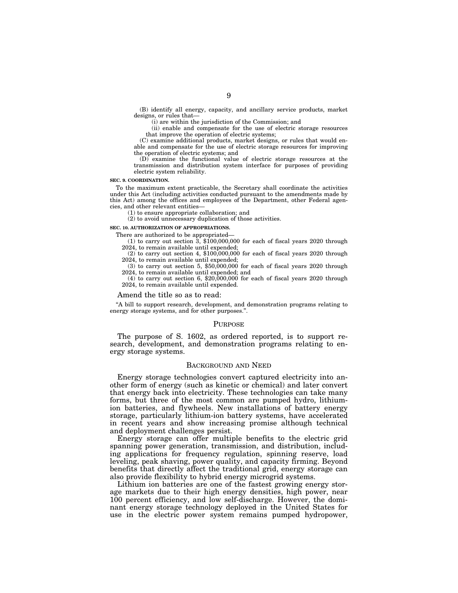(B) identify all energy, capacity, and ancillary service products, market designs, or rules that—

(i) are within the jurisdiction of the Commission; and

(ii) enable and compensate for the use of electric storage resources that improve the operation of electric systems;

(C) examine additional products, market designs, or rules that would enable and compensate for the use of electric storage resources for improving the operation of electric systems; and

(D) examine the functional value of electric storage resources at the transmission and distribution system interface for purposes of providing electric system reliability.

### **SEC. 9. COORDINATION.**

To the maximum extent practicable, the Secretary shall coordinate the activities under this Act (including activities conducted pursuant to the amendments made by this Act) among the offices and employees of the Department, other Federal agencies, and other relevant entities—

(1) to ensure appropriate collaboration; and

(2) to avoid unnecessary duplication of those activities.

### **SEC. 10. AUTHORIZATION OF APPROPRIATIONS.**

There are authorized to be appropriated—

(1) to carry out section  $3, $100,000,000$  for each of fiscal years 2020 through 2024, to remain available until expended;

 $(2)$  to carry out section 4, \$100,000,000 for each of fiscal years 2020 through 2024, to remain available until expended;

(3) to carry out section 5, \$50,000,000 for each of fiscal years 2020 through 2024, to remain available until expended; and

 $(4)$  to carry out section 6, \$20,000,000 for each of fiscal years 2020 through 2024, to remain available until expended.

### Amend the title so as to read:

''A bill to support research, development, and demonstration programs relating to energy storage systems, and for other purposes.".

### PURPOSE

The purpose of S. 1602, as ordered reported, is to support research, development, and demonstration programs relating to energy storage systems.

### BACKGROUND AND NEED

Energy storage technologies convert captured electricity into another form of energy (such as kinetic or chemical) and later convert that energy back into electricity. These technologies can take many forms, but three of the most common are pumped hydro, lithiumion batteries, and flywheels. New installations of battery energy storage, particularly lithium-ion battery systems, have accelerated in recent years and show increasing promise although technical and deployment challenges persist.

Energy storage can offer multiple benefits to the electric grid spanning power generation, transmission, and distribution, including applications for frequency regulation, spinning reserve, load leveling, peak shaving, power quality, and capacity firming. Beyond benefits that directly affect the traditional grid, energy storage can also provide flexibility to hybrid energy microgrid systems.

Lithium ion batteries are one of the fastest growing energy storage markets due to their high energy densities, high power, near 100 percent efficiency, and low self-discharge. However, the dominant energy storage technology deployed in the United States for use in the electric power system remains pumped hydropower,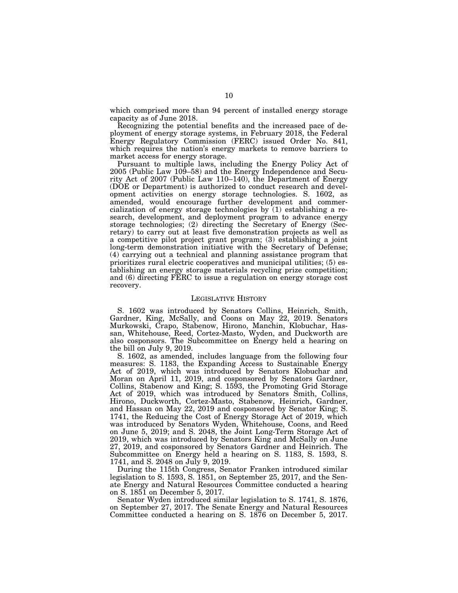which comprised more than 94 percent of installed energy storage capacity as of June 2018.

Recognizing the potential benefits and the increased pace of deployment of energy storage systems, in February 2018, the Federal Energy Regulatory Commission (FERC) issued Order No. 841, which requires the nation's energy markets to remove barriers to market access for energy storage.

Pursuant to multiple laws, including the Energy Policy Act of 2005 (Public Law 109–58) and the Energy Independence and Security Act of 2007 (Public Law 110–140), the Department of Energy (DOE or Department) is authorized to conduct research and development activities on energy storage technologies. S. 1602, as amended, would encourage further development and commercialization of energy storage technologies by  $(1)$  establishing a research, development, and deployment program to advance energy storage technologies; (2) directing the Secretary of Energy (Secretary) to carry out at least five demonstration projects as well as a competitive pilot project grant program; (3) establishing a joint long-term demonstration initiative with the Secretary of Defense; (4) carrying out a technical and planning assistance program that prioritizes rural electric cooperatives and municipal utilities; (5) establishing an energy storage materials recycling prize competition; and (6) directing FERC to issue a regulation on energy storage cost recovery.

### LEGISLATIVE HISTORY

S. 1602 was introduced by Senators Collins, Heinrich, Smith, Gardner, King, McSally, and Coons on May 22, 2019. Senators Murkowski, Crapo, Stabenow, Hirono, Manchin, Klobuchar, Hassan, Whitehouse, Reed, Cortez-Masto, Wyden, and Duckworth are also cosponsors. The Subcommittee on Energy held a hearing on the bill on July 9, 2019.

S. 1602, as amended, includes language from the following four measures: S. 1183, the Expanding Access to Sustainable Energy Act of 2019, which was introduced by Senators Klobuchar and Moran on April 11, 2019, and cosponsored by Senators Gardner, Collins, Stabenow and King; S. 1593, the Promoting Grid Storage Act of 2019, which was introduced by Senators Smith, Collins, Hirono, Duckworth, Cortez-Masto, Stabenow, Heinrich, Gardner, and Hassan on May 22, 2019 and cosponsored by Senator King; S. 1741, the Reducing the Cost of Energy Storage Act of 2019, which was introduced by Senators Wyden, Whitehouse, Coons, and Reed on June 5, 2019; and S. 2048, the Joint Long-Term Storage Act of 2019, which was introduced by Senators King and McSally on June 27, 2019, and cosponsored by Senators Gardner and Heinrich. The Subcommittee on Energy held a hearing on S. 1183, S. 1593, S. 1741, and S. 2048 on July 9, 2019.

During the 115th Congress, Senator Franken introduced similar legislation to S. 1593, S. 1851, on September 25, 2017, and the Senate Energy and Natural Resources Committee conducted a hearing on S. 1851 on December 5, 2017.

Senator Wyden introduced similar legislation to S. 1741, S. 1876, on September 27, 2017. The Senate Energy and Natural Resources Committee conducted a hearing on S. 1876 on December 5, 2017.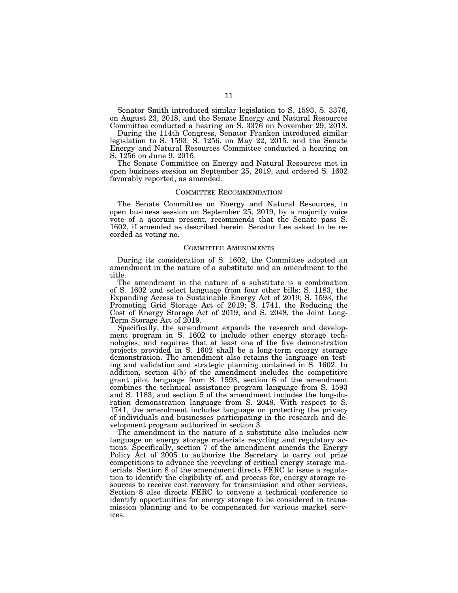Senator Smith introduced similar legislation to S. 1593, S. 3376, on August 23, 2018, and the Senate Energy and Natural Resources Committee conducted a hearing on S. 3376 on November 29, 2018.

During the 114th Congress, Senator Franken introduced similar legislation to S. 1593, S. 1256, on May 22, 2015, and the Senate Energy and Natural Resources Committee conducted a hearing on S. 1256 on June 9, 2015.

The Senate Committee on Energy and Natural Resources met in open business session on September 25, 2019, and ordered S. 1602 favorably reported, as amended.

### COMMITTEE RECOMMENDATION

The Senate Committee on Energy and Natural Resources, in open business session on September 25, 2019, by a majority voice vote of a quorum present, recommends that the Senate pass S. 1602, if amended as described herein. Senator Lee asked to be recorded as voting no.

### COMMITTEE AMENDMENTS

During its consideration of S. 1602, the Committee adopted an amendment in the nature of a substitute and an amendment to the title.

The amendment in the nature of a substitute is a combination of S. 1602 and select language from four other bills: S. 1183, the Expanding Access to Sustainable Energy Act of 2019; S. 1593, the Promoting Grid Storage Act of 2019; S. 1741, the Reducing the Cost of Energy Storage Act of 2019; and S. 2048, the Joint Long-Term Storage Act of 2019.

Specifically, the amendment expands the research and development program in S. 1602 to include other energy storage technologies, and requires that at least one of the five demonstration projects provided in S. 1602 shall be a long-term energy storage demonstration. The amendment also retains the language on testing and validation and strategic planning contained in S. 1602. In addition, section 4(b) of the amendment includes the competitive grant pilot language from S. 1593, section 6 of the amendment combines the technical assistance program language from S. 1593 and S. 1183, and section 5 of the amendment includes the long-duration demonstration language from S. 2048. With respect to S. 1741, the amendment includes language on protecting the privacy of individuals and businesses participating in the research and development program authorized in section 3.

The amendment in the nature of a substitute also includes new language on energy storage materials recycling and regulatory actions. Specifically, section 7 of the amendment amends the Energy Policy Act of 2005 to authorize the Secretary to carry out prize competitions to advance the recycling of critical energy storage materials. Section 8 of the amendment directs FERC to issue a regulation to identify the eligibility of, and process for, energy storage resources to receive cost recovery for transmission and other services. Section 8 also directs FERC to convene a technical conference to identify opportunities for energy storage to be considered in transmission planning and to be compensated for various market services.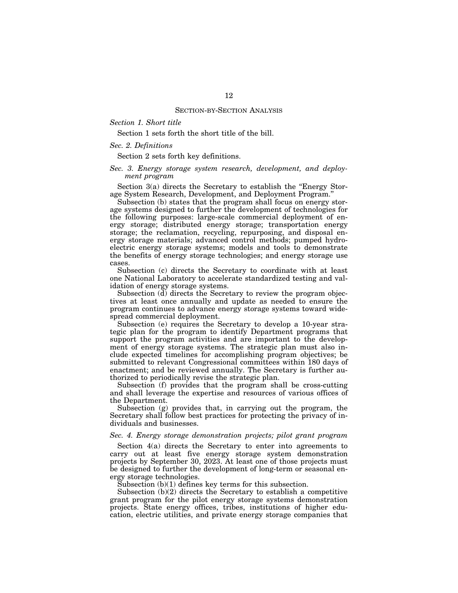# *Section 1. Short title*

Section 1 sets forth the short title of the bill.

## *Sec. 2. Definitions*

Section 2 sets forth key definitions.

# *Sec. 3. Energy storage system research, development, and deployment program*

Section 3(a) directs the Secretary to establish the "Energy Storage System Research, Development, and Deployment Program.''

Subsection (b) states that the program shall focus on energy storage systems designed to further the development of technologies for the following purposes: large-scale commercial deployment of energy storage; distributed energy storage; transportation energy storage; the reclamation, recycling, repurposing, and disposal energy storage materials; advanced control methods; pumped hydroelectric energy storage systems; models and tools to demonstrate the benefits of energy storage technologies; and energy storage use cases.

Subsection (c) directs the Secretary to coordinate with at least one National Laboratory to accelerate standardized testing and validation of energy storage systems.

Subsection (d) directs the Secretary to review the program objectives at least once annually and update as needed to ensure the program continues to advance energy storage systems toward widespread commercial deployment.

Subsection (e) requires the Secretary to develop a 10-year strategic plan for the program to identify Department programs that support the program activities and are important to the development of energy storage systems. The strategic plan must also include expected timelines for accomplishing program objectives; be submitted to relevant Congressional committees within 180 days of enactment; and be reviewed annually. The Secretary is further authorized to periodically revise the strategic plan.

Subsection (f) provides that the program shall be cross-cutting and shall leverage the expertise and resources of various offices of the Department.

Subsection (g) provides that, in carrying out the program, the Secretary shall follow best practices for protecting the privacy of individuals and businesses.

# *Sec. 4. Energy storage demonstration projects; pilot grant program*

Section 4(a) directs the Secretary to enter into agreements to carry out at least five energy storage system demonstration projects by September 30, 2023. At least one of those projects must be designed to further the development of long-term or seasonal energy storage technologies.

Subsection  $(b)(1)$  defines key terms for this subsection.

Subsection (b)(2) directs the Secretary to establish a competitive grant program for the pilot energy storage systems demonstration projects. State energy offices, tribes, institutions of higher education, electric utilities, and private energy storage companies that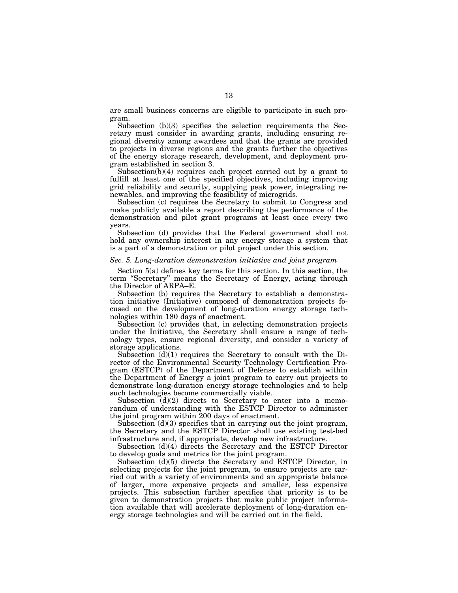are small business concerns are eligible to participate in such program.

Subsection (b)(3) specifies the selection requirements the Secretary must consider in awarding grants, including ensuring regional diversity among awardees and that the grants are provided to projects in diverse regions and the grants further the objectives of the energy storage research, development, and deployment program established in section 3.

Subsection(b)(4) requires each project carried out by a grant to fulfill at least one of the specified objectives, including improving grid reliability and security, supplying peak power, integrating renewables, and improving the feasibility of microgrids.

Subsection (c) requires the Secretary to submit to Congress and make publicly available a report describing the performance of the demonstration and pilot grant programs at least once every two years.

Subsection (d) provides that the Federal government shall not hold any ownership interest in any energy storage a system that is a part of a demonstration or pilot project under this section.

### *Sec. 5. Long-duration demonstration initiative and joint program*

Section 5(a) defines key terms for this section. In this section, the term "Secretary" means the Secretary of Energy, acting through the Director of ARPA–E.

Subsection (b) requires the Secretary to establish a demonstration initiative (Initiative) composed of demonstration projects focused on the development of long-duration energy storage technologies within 180 days of enactment.

Subsection (c) provides that, in selecting demonstration projects under the Initiative, the Secretary shall ensure a range of technology types, ensure regional diversity, and consider a variety of storage applications.

Subsection (d)(1) requires the Secretary to consult with the Director of the Environmental Security Technology Certification Program (ESTCP) of the Department of Defense to establish within the Department of Energy a joint program to carry out projects to demonstrate long-duration energy storage technologies and to help such technologies become commercially viable.

Subsection  $(d)(2)$  directs to Secretary to enter into a memorandum of understanding with the ESTCP Director to administer the joint program within 200 days of enactment.

Subsection  $(d)(3)$  specifies that in carrying out the joint program, the Secretary and the ESTCP Director shall use existing test-bed infrastructure and, if appropriate, develop new infrastructure.

Subsection (d)(4) directs the Secretary and the ESTCP Director to develop goals and metrics for the joint program.

Subsection (d)(5) directs the Secretary and ESTCP Director, in selecting projects for the joint program, to ensure projects are carried out with a variety of environments and an appropriate balance of larger, more expensive projects and smaller, less expensive projects. This subsection further specifies that priority is to be given to demonstration projects that make public project information available that will accelerate deployment of long-duration energy storage technologies and will be carried out in the field.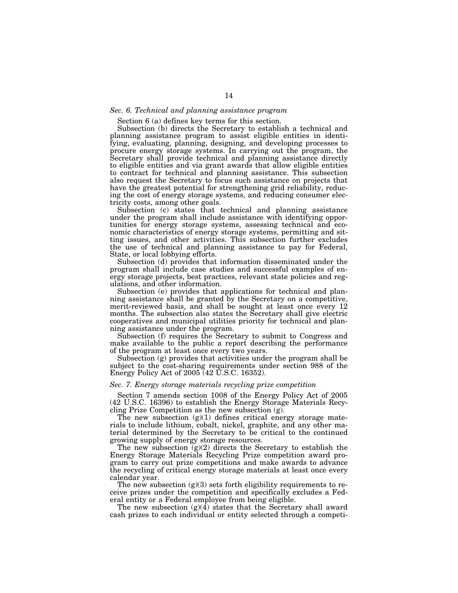### *Sec. 6. Technical and planning assistance program*

Section 6 (a) defines key terms for this section.

Subsection (b) directs the Secretary to establish a technical and planning assistance program to assist eligible entities in identifying, evaluating, planning, designing, and developing processes to procure energy storage systems. In carrying out the program, the Secretary shall provide technical and planning assistance directly to eligible entities and via grant awards that allow eligible entities to contract for technical and planning assistance. This subsection also request the Secretary to focus such assistance on projects that have the greatest potential for strengthening grid reliability, reducing the cost of energy storage systems, and reducing consumer electricity costs, among other goals.

Subsection (c) states that technical and planning assistance under the program shall include assistance with identifying opportunities for energy storage systems, assessing technical and economic characteristics of energy storage systems, permitting and sitting issues, and other activities. This subsection further excludes the use of technical and planning assistance to pay for Federal, State, or local lobbying efforts.

Subsection (d) provides that information disseminated under the program shall include case studies and successful examples of energy storage projects, best practices, relevant state policies and regulations, and other information.

Subsection (e) provides that applications for technical and planning assistance shall be granted by the Secretary on a competitive, merit-reviewed basis, and shall be sought at least once every 12 months. The subsection also states the Secretary shall give electric cooperatives and municipal utilities priority for technical and planning assistance under the program.

Subsection (f) requires the Secretary to submit to Congress and make available to the public a report describing the performance of the program at least once every two years.

Subsection (g) provides that activities under the program shall be subject to the cost-sharing requirements under section 988 of the Energy Policy Act of 2005 (42 U.S.C. 16352).

### *Sec. 7. Energy storage materials recycling prize competition*

Section 7 amends section 1008 of the Energy Policy Act of 2005 (42 U.S.C. 16396) to establish the Energy Storage Materials Recycling Prize Competition as the new subsection (g).

The new subsection  $(g)(1)$  defines critical energy storage materials to include lithium, cobalt, nickel, graphite, and any other material determined by the Secretary to be critical to the continued growing supply of energy storage resources.

The new subsection  $(g)(2)$  directs the Secretary to establish the Energy Storage Materials Recycling Prize competition award program to carry out prize competitions and make awards to advance the recycling of critical energy storage materials at least once every calendar year.

The new subsection  $(g)(3)$  sets forth eligibility requirements to receive prizes under the competition and specifically excludes a Federal entity or a Federal employee from being eligible.

The new subsection  $(g)(4)$  states that the Secretary shall award cash prizes to each individual or entity selected through a competi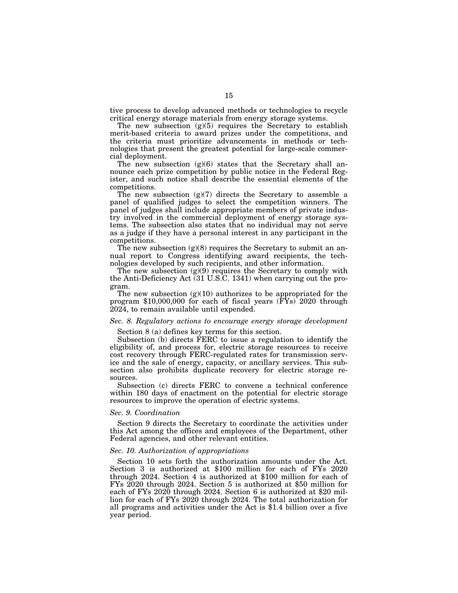tive process to develop advanced methods or technologies to recycle critical energy storage materials from energy storage systems.

The new subsection  $(g)(5)$  requires the Secretary to establish merit-based criteria to award prizes under the competitions, and the criteria must prioritize advancements in methods or technologies that present the greatest potential for large-scale commercial deployment.

The new subsection  $(g)(6)$  states that the Secretary shall announce each prize competition by public notice in the Federal Register, and such notice shall describe the essential elements of the competitions.

The new subsection  $(g)(7)$  directs the Secretary to assemble a panel of qualified judges to select the competition winners. The panel of judges shall include appropriate members of private industry involved in the commercial deployment of energy storage systems. The subsection also states that no individual may not serve as a judge if they have a personal interest in any participant in the competitions.

The new subsection  $(g)(8)$  requires the Secretary to submit an annual report to Congress identifying award recipients, the technologies developed by such recipients, and other information.

The new subsection  $(g)(9)$  requires the Secretary to comply with the Anti-Deficiency Act (31 U.S.C. 1341) when carrying out the program.

The new subsection  $(g)(10)$  authorizes to be appropriated for the program \$10,000,000 for each of fiscal years  $(\overline{FY}_s)$  2020 through 2024, to remain available until expended.

# *Sec. 8. Regulatory actions to encourage energy storage development*

Section 8 (a) defines key terms for this section.

Subsection (b) directs FERC to issue a regulation to identify the eligibility of, and process for, electric storage resources to receive cost recovery through FERC-regulated rates for transmission service and the sale of energy, capacity, or ancillary services. This subsection also prohibits duplicate recovery for electric storage resources.

Subsection (c) directs FERC to convene a technical conference within 180 days of enactment on the potential for electric storage resources to improve the operation of electric systems.

### *Sec. 9. Coordination*

Section 9 directs the Secretary to coordinate the activities under this Act among the offices and employees of the Department, other Federal agencies, and other relevant entities.

# *Sec. 10. Authorization of appropriations*

Section 10 sets forth the authorization amounts under the Act. Section 3 is authorized at \$100 million for each of FYs 2020 through 2024. Section 4 is authorized at \$100 million for each of FYs 2020 through 2024. Section 5 is authorized at \$50 million for each of FYs 2020 through 2024. Section 6 is authorized at \$20 million for each of FYs 2020 through 2024. The total authorization for all programs and activities under the Act is \$1.4 billion over a five year period.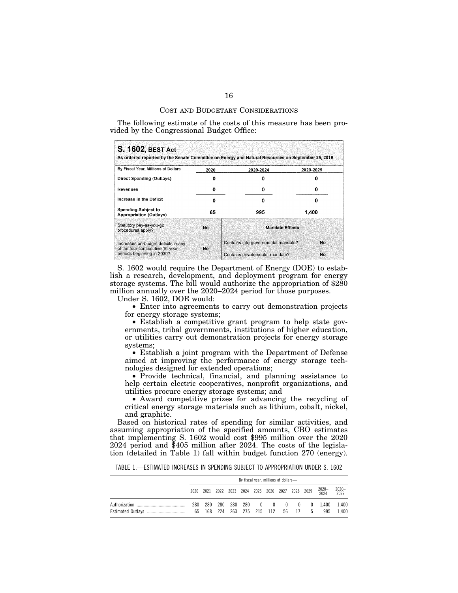### COST AND BUDGETARY CONSIDERATIONS

The following estimate of the costs of this measure has been provided by the Congressional Budget Office:

| <b>S. 1602, BEST Act</b><br>As ordered reported by the Senate Committee on Energy and Natural Resources on September 25, 2019 |      |                                     |           |  |  |  |  |
|-------------------------------------------------------------------------------------------------------------------------------|------|-------------------------------------|-----------|--|--|--|--|
| By Fiscal Year, Millions of Dollars                                                                                           | 2020 | 2020-2024                           | 2020-2029 |  |  |  |  |
| Direct Spending (Outlays)                                                                                                     |      |                                     |           |  |  |  |  |
| Revenues                                                                                                                      |      |                                     |           |  |  |  |  |
| Increase in the Deficit                                                                                                       | Ω    |                                     |           |  |  |  |  |
| <b>Spending Subject to</b><br><b>Appropriation (Outlays)</b>                                                                  | 65   | 995                                 | 1.400     |  |  |  |  |
| Statutory pay-as-you-go<br>procedures apply?                                                                                  | No.  | <b>Mandate Effects</b>              |           |  |  |  |  |
| Increases on-budget deficits in any<br>of the four consecutive 10-year<br>periods beginning in 2030?                          | No.  | Contains intergovernmental mandate? | <b>No</b> |  |  |  |  |
|                                                                                                                               |      | Contains private-sector mandate?    | No        |  |  |  |  |

S. 1602 would require the Department of Energy (DOE) to establish a research, development, and deployment program for energy storage systems. The bill would authorize the appropriation of \$280 million annually over the 2020–2024 period for those purposes.

Under S. 1602, DOE would:

• Enter into agreements to carry out demonstration projects for energy storage systems;

• Establish a competitive grant program to help state governments, tribal governments, institutions of higher education, or utilities carry out demonstration projects for energy storage systems;

• Establish a joint program with the Department of Defense aimed at improving the performance of energy storage technologies designed for extended operations;

• Provide technical, financial, and planning assistance to help certain electric cooperatives, nonprofit organizations, and utilities procure energy storage systems; and

• Award competitive prizes for advancing the recycling of critical energy storage materials such as lithium, cobalt, nickel, and graphite.

Based on historical rates of spending for similar activities, and assuming appropriation of the specified amounts, CBO estimates that implementing S. 1602 would cost \$995 million over the 2020 2024 period and \$405 million after 2024. The costs of the legislation (detailed in Table 1) fall within budget function 270 (energy).

TABLE 1.—ESTIMATED INCREASES IN SPENDING SUBJECT TO APPROPRIATION UNDER S. 1602

| By fiscal year, millions of dollars- |  |  |  |                                              |  |  |  |  |                                    |                                       |               |
|--------------------------------------|--|--|--|----------------------------------------------|--|--|--|--|------------------------------------|---------------------------------------|---------------|
| 2020                                 |  |  |  | 2021 2022 2023 2024 2025 2026 2027 2028 2029 |  |  |  |  |                                    | 2020--<br>2024                        | 2020-<br>2029 |
| 280                                  |  |  |  |                                              |  |  |  |  | 65 168 224 263 275 215 112 56 17 5 | 280 280 280 280 0 0 0 0 0 1,400 1,400 | 995 1.400     |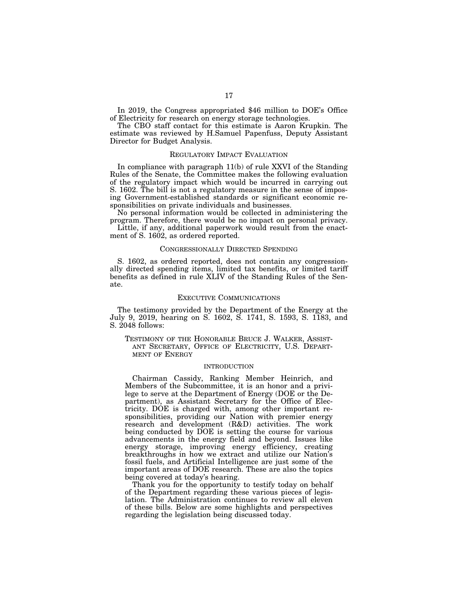In 2019, the Congress appropriated \$46 million to DOE's Office of Electricity for research on energy storage technologies.

The CBO staff contact for this estimate is Aaron Krupkin. The estimate was reviewed by H.Samuel Papenfuss, Deputy Assistant Director for Budget Analysis.

## REGULATORY IMPACT EVALUATION

In compliance with paragraph 11(b) of rule XXVI of the Standing Rules of the Senate, the Committee makes the following evaluation of the regulatory impact which would be incurred in carrying out S. 1602. The bill is not a regulatory measure in the sense of imposing Government-established standards or significant economic responsibilities on private individuals and businesses.

No personal information would be collected in administering the program. Therefore, there would be no impact on personal privacy.

Little, if any, additional paperwork would result from the enactment of S. 1602, as ordered reported.

## CONGRESSIONALLY DIRECTED SPENDING

S. 1602, as ordered reported, does not contain any congressionally directed spending items, limited tax benefits, or limited tariff benefits as defined in rule XLIV of the Standing Rules of the Senate.

### EXECUTIVE COMMUNICATIONS

The testimony provided by the Department of the Energy at the July 9, 2019, hearing on S. 1602, S. 1741, S. 1593, S. 1183, and S. 2048 follows:

TESTIMONY OF THE HONORABLE BRUCE J. WALKER, ASSIST-ANT SECRETARY, OFFICE OF ELECTRICITY, U.S. DEPART-MENT OF ENERGY

### INTRODUCTION

Chairman Cassidy, Ranking Member Heinrich, and Members of the Subcommittee, it is an honor and a privilege to serve at the Department of Energy (DOE or the Department), as Assistant Secretary for the Office of Electricity. DOE is charged with, among other important responsibilities, providing our Nation with premier energy research and development (R&D) activities. The work being conducted by DOE is setting the course for various advancements in the energy field and beyond. Issues like energy storage, improving energy efficiency, creating breakthroughs in how we extract and utilize our Nation's fossil fuels, and Artificial Intelligence are just some of the important areas of DOE research. These are also the topics being covered at today's hearing.

Thank you for the opportunity to testify today on behalf of the Department regarding these various pieces of legislation. The Administration continues to review all eleven of these bills. Below are some highlights and perspectives regarding the legislation being discussed today.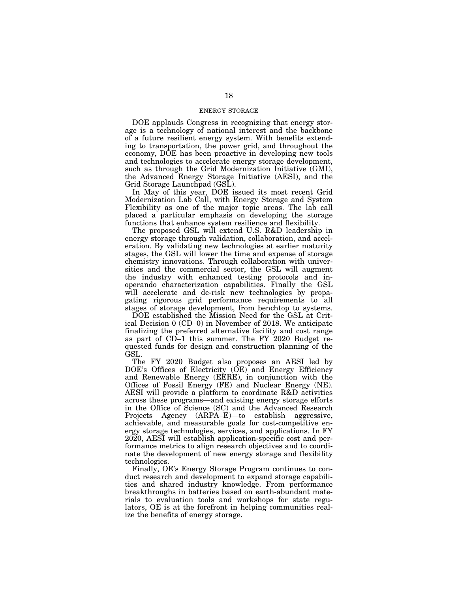## ENERGY STORAGE

DOE applauds Congress in recognizing that energy storage is a technology of national interest and the backbone of a future resilient energy system. With benefits extending to transportation, the power grid, and throughout the economy, DOE has been proactive in developing new tools and technologies to accelerate energy storage development, such as through the Grid Modernization Initiative (GMI), the Advanced Energy Storage Initiative (AESI), and the Grid Storage Launchpad (GSL).

In May of this year, DOE issued its most recent Grid Modernization Lab Call, with Energy Storage and System Flexibility as one of the major topic areas. The lab call placed a particular emphasis on developing the storage functions that enhance system resilience and flexibility.

The proposed GSL will extend U.S. R&D leadership in energy storage through validation, collaboration, and acceleration. By validating new technologies at earlier maturity stages, the GSL will lower the time and expense of storage chemistry innovations. Through collaboration with universities and the commercial sector, the GSL will augment the industry with enhanced testing protocols and inoperando characterization capabilities. Finally the GSL will accelerate and de-risk new technologies by propagating rigorous grid performance requirements to all stages of storage development, from benchtop to systems.

DOE established the Mission Need for the GSL at Critical Decision 0 (CD–0) in November of 2018. We anticipate finalizing the preferred alternative facility and cost range as part of CD–1 this summer. The FY 2020 Budget requested funds for design and construction planning of the GSL.

The FY 2020 Budget also proposes an AESI led by DOE's Offices of Electricity (OE) and Energy Efficiency and Renewable Energy (EERE), in conjunction with the Offices of Fossil Energy (FE) and Nuclear Energy (NE). AESI will provide a platform to coordinate R&D activities across these programs—and existing energy storage efforts in the Office of Science (SC) and the Advanced Research Projects Agency (ARPA–E)—to establish aggressive, achievable, and measurable goals for cost-competitive energy storage technologies, services, and applications. In FY 2020, AESI will establish application-specific cost and performance metrics to align research objectives and to coordinate the development of new energy storage and flexibility technologies.

Finally, OE's Energy Storage Program continues to conduct research and development to expand storage capabilities and shared industry knowledge. From performance breakthroughs in batteries based on earth-abundant materials to evaluation tools and workshops for state regulators, OE is at the forefront in helping communities realize the benefits of energy storage.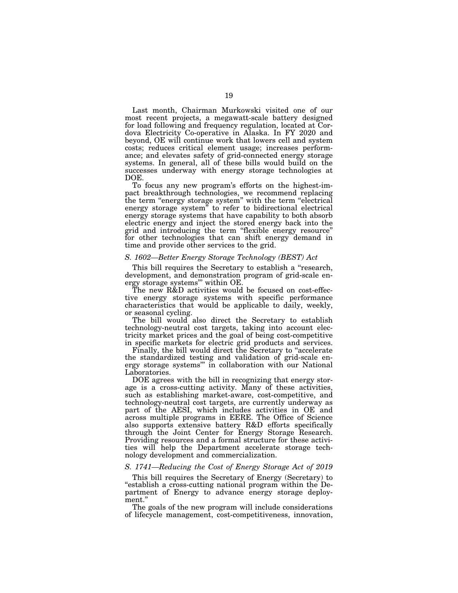Last month, Chairman Murkowski visited one of our most recent projects, a megawatt-scale battery designed for load following and frequency regulation, located at Cordova Electricity Co-operative in Alaska. In FY 2020 and beyond, OE will continue work that lowers cell and system costs; reduces critical element usage; increases performance; and elevates safety of grid-connected energy storage systems. In general, all of these bills would build on the successes underway with energy storage technologies at DOE.

To focus any new program's efforts on the highest-impact breakthrough technologies, we recommend replacing the term "energy storage system" with the term "electrical" energy storage system" to refer to bidirectional electrical energy storage systems that have capability to both absorb electric energy and inject the stored energy back into the grid and introducing the term ''flexible energy resource'' for other technologies that can shift energy demand in time and provide other services to the grid.

### *S. 1602—Better Energy Storage Technology (BEST) Act*

This bill requires the Secretary to establish a "research, development, and demonstration program of grid-scale energy storage systems''' within OE.

The new R&D activities would be focused on cost-effective energy storage systems with specific performance characteristics that would be applicable to daily, weekly, or seasonal cycling.

The bill would also direct the Secretary to establish technology-neutral cost targets, taking into account electricity market prices and the goal of being cost-competitive in specific markets for electric grid products and services.

Finally, the bill would direct the Secretary to "accelerate" the standardized testing and validation of grid-scale energy storage systems''' in collaboration with our National Laboratories.

DOE agrees with the bill in recognizing that energy storage is a cross-cutting activity. Many of these activities, such as establishing market-aware, cost-competitive, and technology-neutral cost targets, are currently underway as part of the AESI, which includes activities in OE and across multiple programs in EERE. The Office of Science also supports extensive battery R&D efforts specifically through the Joint Center for Energy Storage Research. Providing resources and a formal structure for these activities will help the Department accelerate storage technology development and commercialization.

## *S. 1741—Reducing the Cost of Energy Storage Act of 2019*

This bill requires the Secretary of Energy (Secretary) to ''establish a cross-cutting national program within the Department of Energy to advance energy storage deployment.''

The goals of the new program will include considerations of lifecycle management, cost-competitiveness, innovation,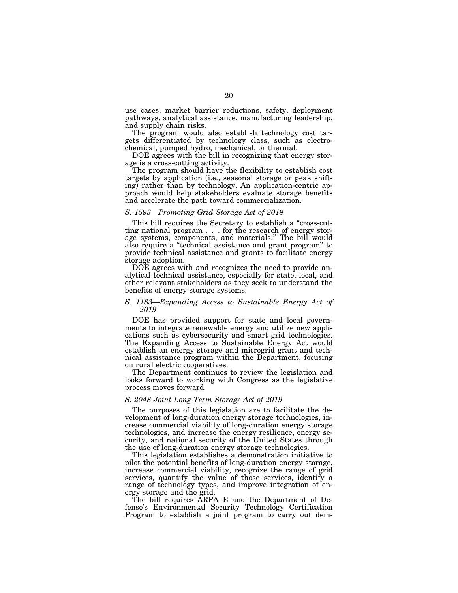use cases, market barrier reductions, safety, deployment pathways, analytical assistance, manufacturing leadership, and supply chain risks.

The program would also establish technology cost targets differentiated by technology class, such as electrochemical, pumped hydro, mechanical, or thermal.

DOE agrees with the bill in recognizing that energy storage is a cross-cutting activity.

The program should have the flexibility to establish cost targets by application (i.e., seasonal storage or peak shifting) rather than by technology. An application-centric approach would help stakeholders evaluate storage benefits and accelerate the path toward commercialization.

### *S. 1593—Promoting Grid Storage Act of 2019*

This bill requires the Secretary to establish a "cross-cutting national program . . . for the research of energy storage systems, components, and materials.'' The bill would also require a ''technical assistance and grant program'' to provide technical assistance and grants to facilitate energy storage adoption.

DOE agrees with and recognizes the need to provide analytical technical assistance, especially for state, local, and other relevant stakeholders as they seek to understand the benefits of energy storage systems.

## *S. 1183—Expanding Access to Sustainable Energy Act of 2019*

DOE has provided support for state and local governments to integrate renewable energy and utilize new applications such as cybersecurity and smart grid technologies. The Expanding Access to Sustainable Energy Act would establish an energy storage and microgrid grant and technical assistance program within the Department, focusing on rural electric cooperatives.

The Department continues to review the legislation and looks forward to working with Congress as the legislative process moves forward.

### *S. 2048 Joint Long Term Storage Act of 2019*

The purposes of this legislation are to facilitate the development of long-duration energy storage technologies, increase commercial viability of long-duration energy storage technologies, and increase the energy resilience, energy security, and national security of the United States through the use of long-duration energy storage technologies.

This legislation establishes a demonstration initiative to pilot the potential benefits of long-duration energy storage, increase commercial viability, recognize the range of grid services, quantify the value of those services, identify a range of technology types, and improve integration of energy storage and the grid.

The bill requires ARPA–E and the Department of Defense's Environmental Security Technology Certification Program to establish a joint program to carry out dem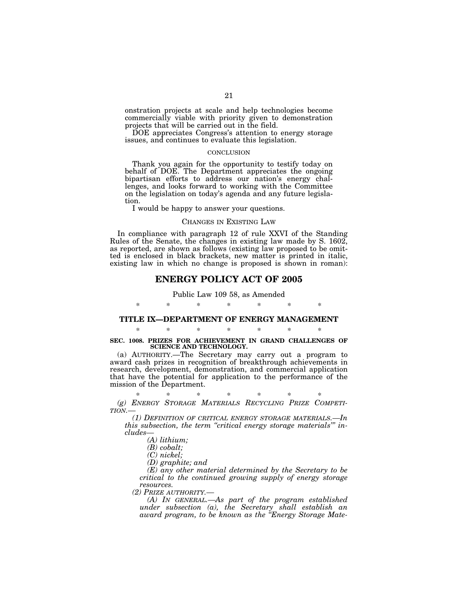onstration projects at scale and help technologies become commercially viable with priority given to demonstration projects that will be carried out in the field.

DOE appreciates Congress's attention to energy storage issues, and continues to evaluate this legislation.

### **CONCLUSION**

Thank you again for the opportunity to testify today on behalf of DOE. The Department appreciates the ongoing bipartisan efforts to address our nation's energy challenges, and looks forward to working with the Committee on the legislation on today's agenda and any future legislation.

I would be happy to answer your questions.

### CHANGES IN EXISTING LAW

In compliance with paragraph 12 of rule XXVI of the Standing Rules of the Senate, the changes in existing law made by S. 1602, as reported, are shown as follows (existing law proposed to be omitted is enclosed in black brackets, new matter is printed in italic, existing law in which no change is proposed is shown in roman):

# **ENERGY POLICY ACT OF 2005**

Public Law 109 58, as Amended

## \* \* \* \* \* \* \*

# **TITLE IX—DEPARTMENT OF ENERGY MANAGEMENT**  \* \* \* \* \* \* \*

# **SEC. 1008. PRIZES FOR ACHIEVEMENT IN GRAND CHALLENGES OF SCIENCE AND TECHNOLOGY.**

(a) AUTHORITY.—The Secretary may carry out a program to award cash prizes in recognition of breakthrough achievements in research, development, demonstration, and commercial application that have the potential for application to the performance of the mission of the Department.

# \* \* \* \* \* \* \*

*(g) ENERGY STORAGE MATERIALS RECYCLING PRIZE COMPETI- TION.—* 

*(1) DEFINITION OF CRITICAL ENERGY STORAGE MATERIALS.—In this subsection, the term ''critical energy storage materials''' includes—* 

*(A) lithium;* 

*(B) cobalt;* 

*(C) nickel;* 

*(D) graphite; and* 

*(E) any other material determined by the Secretary to be critical to the continued growing supply of energy storage resources.* 

*(2) PRIZE AUTHORITY.—* 

*(A) IN GENERAL.—As part of the program established under subsection (a), the Secretary shall establish an award program, to be known as the ''Energy Storage Mate-*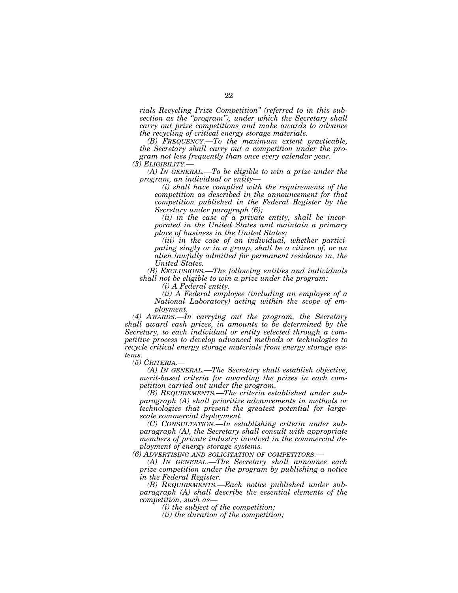*rials Recycling Prize Competition'' (referred to in this subsection as the ''program''), under which the Secretary shall carry out prize competitions and make awards to advance the recycling of critical energy storage materials.* 

*(B) FREQUENCY.—To the maximum extent practicable, the Secretary shall carry out a competition under the program not less frequently than once every calendar year. (3) ELIGIBILITY.—* 

*(A) IN GENERAL.—To be eligible to win a prize under the program, an individual or entity—* 

*(i) shall have complied with the requirements of the competition as described in the announcement for that competition published in the Federal Register by the Secretary under paragraph (6);* 

*(ii) in the case of a private entity, shall be incorporated in the United States and maintain a primary place of business in the United States;* 

*(iii) in the case of an individual, whether participating singly or in a group, shall be a citizen of, or an alien lawfully admitted for permanent residence in, the United States.* 

*(B) EXCLUSIONS.—The following entities and individuals shall not be eligible to win a prize under the program:* 

*(i) A Federal entity.* 

*(ii) A Federal employee (including an employee of a National Laboratory) acting within the scope of employment.* 

*(4) AWARDS.—In carrying out the program, the Secretary shall award cash prizes, in amounts to be determined by the Secretary, to each individual or entity selected through a competitive process to develop advanced methods or technologies to recycle critical energy storage materials from energy storage systems.* 

*(5) CRITERIA.—* 

*(A) IN GENERAL.—The Secretary shall establish objective, merit-based criteria for awarding the prizes in each competition carried out under the program.* 

*(B) REQUIREMENTS.—The criteria established under subparagraph (A) shall prioritize advancements in methods or technologies that present the greatest potential for largescale commercial deployment.* 

*(C) CONSULTATION.—In establishing criteria under subparagraph (A), the Secretary shall consult with appropriate members of private industry involved in the commercial deployment of energy storage systems.* 

*(6) ADVERTISING AND SOLICITATION OF COMPETITORS.—* 

*(A) IN GENERAL.—The Secretary shall announce each prize competition under the program by publishing a notice in the Federal Register.* 

*(B) REQUIREMENTS.—Each notice published under subparagraph (A) shall describe the essential elements of the competition, such as—* 

*(i) the subject of the competition;* 

*(ii) the duration of the competition;*